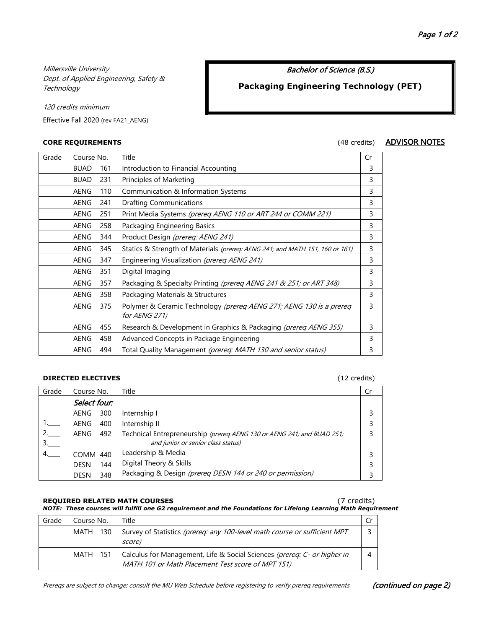Millersville University Dept. of Applied Engineering, Safety & **Technology** 

Bachelor of Science (B.S.)

# **Packaging Engineering Technology (PET)**

120 credits minimum

Effective Fall 2020 (rev FA21\_AENG)

**CORE REQUIREMENTS** (48 credits) **ADVISOR NOTES** 

| Grade | Course No.  |     | Title                                                                                | Cr |
|-------|-------------|-----|--------------------------------------------------------------------------------------|----|
|       | <b>BUAD</b> | 161 | Introduction to Financial Accounting                                                 | 3  |
|       | <b>BUAD</b> | 231 | Principles of Marketing                                                              | 3  |
|       | <b>AENG</b> | 110 | Communication & Information Systems                                                  | 3  |
|       | <b>AENG</b> | 241 | <b>Drafting Communications</b>                                                       | 3  |
|       | <b>AENG</b> | 251 | Print Media Systems (prereq AENG 110 or ART 244 or COMM 221)                         | 3  |
|       | <b>AENG</b> | 258 | Packaging Engineering Basics                                                         | 3  |
|       | <b>AENG</b> | 344 | Product Design (prereq: AENG 241)                                                    | 3  |
|       | <b>AENG</b> | 345 | Statics & Strength of Materials (prereg: AENG 241; and MATH 151, 160 or 161)         | 3  |
|       | AENG        | 347 | Engineering Visualization (prereq AENG 241)                                          | 3  |
|       | AENG        | 351 | Digital Imaging                                                                      | 3  |
|       | <b>AENG</b> | 357 | Packaging & Specialty Printing (prereg AENG 241 & 251; or ART 348)                   | 3  |
|       | <b>AENG</b> | 358 | Packaging Materials & Structures                                                     | 3  |
|       | <b>AENG</b> | 375 | Polymer & Ceramic Technology (prereq AENG 271; AENG 130 is a prereq<br>for AENG 271) | 3  |
|       | <b>AENG</b> | 455 | Research & Development in Graphics & Packaging (prereq AENG 355)                     | 3  |
|       | AENG        | 458 | Advanced Concepts in Package Engineering                                             | 3  |
|       | <b>AENG</b> | 494 | Total Quality Management (prereq: MATH 130 and senior status)                        | 3  |

## **DIRECTED ELECTIVES** (12 credits)

| Grade | Course No.         | Title                                                                                                        | Cr |
|-------|--------------------|--------------------------------------------------------------------------------------------------------------|----|
|       | Select four:       |                                                                                                              |    |
|       | 300<br>AENG        | Internship I                                                                                                 |    |
|       | 400<br>AENG        | Internship II                                                                                                |    |
|       | AENG<br>492        | Technical Entrepreneurship (prereg AENG 130 or AENG 241; and BUAD 251;<br>and junior or senior class status) |    |
|       | <b>COMM 440</b>    | Leadership & Media                                                                                           |    |
|       | 144<br><b>DESN</b> | Digital Theory & Skills                                                                                      |    |
|       | 348<br><b>DESN</b> | Packaging & Design (prereq DESN 144 or 240 or permission)                                                    |    |

#### **REQUIRED RELATED MATH COURSES** (7 credits) *NOTE: These courses will fulfill one G2 requirement and the Foundations for Lifelong Learning Math Requirement*

| Grade | Course No. | Title                                                                                                                         |  |
|-------|------------|-------------------------------------------------------------------------------------------------------------------------------|--|
|       | MATH 130   | Survey of Statistics (prereq: any 100-level math course or sufficient MPT<br>score)                                           |  |
|       | MATH 151   | Calculus for Management, Life & Social Sciences (prereq: C- or higher in<br>MATH 101 or Math Placement Test score of MPT 151) |  |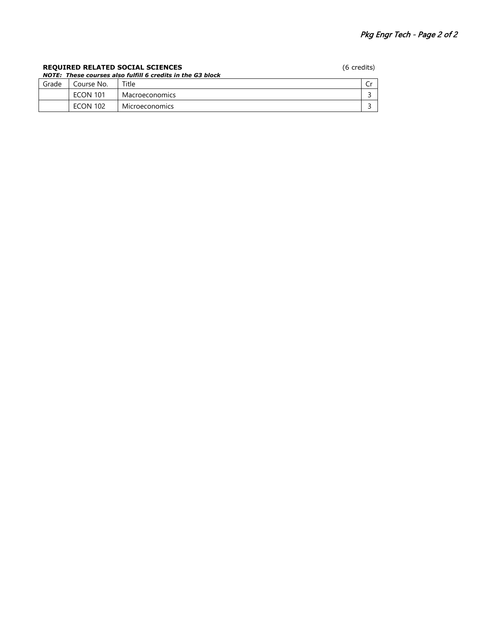## **REQUIRED RELATED SOCIAL SCIENCES** (6 credits) *NOTE: These courses also fulfill 6 credits in the G3 block* Grade | Course No. | Title | Creative Creative Creative Creative Creative Creative Creative Creative Creative ECON 101 Macroeconomics 3 ECON 102 Microeconomics 3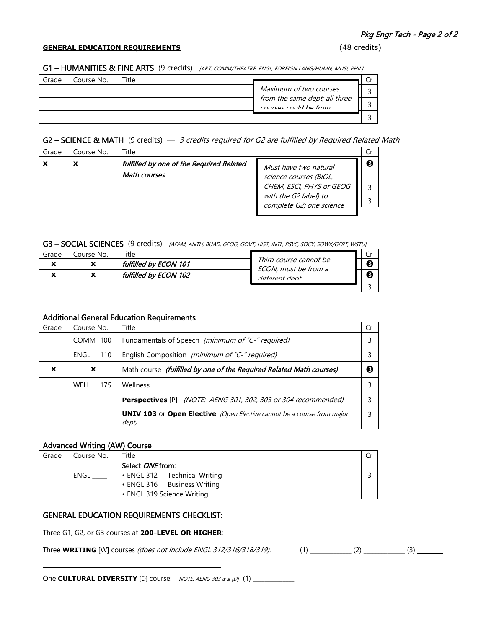### **GENERAL EDUCATION REQUIREMENTS** (48 credits)

| Grade | Course No. | Title |                                                        |  |
|-------|------------|-------|--------------------------------------------------------|--|
|       |            |       | Maximum of two courses                                 |  |
|       |            |       | from the same dept; all three<br>courses could be from |  |
|       |            |       |                                                        |  |

## G2 – SCIENCE & MATH (9 credits)  $-$  3 credits required for G2 are fulfilled by Required Related Math

| Grade | Course No. | Title                                                    |                                                   | Cr |
|-------|------------|----------------------------------------------------------|---------------------------------------------------|----|
|       | х          | fulfilled by one of the Required Related<br>Math courses | Must have two natural<br>science courses (BIOL,   | ❸  |
|       |            |                                                          | CHEM, ESCI, PHYS or GEOG                          | २  |
|       |            |                                                          | with the G2 label) to<br>complete G2; one science |    |
|       |            |                                                          |                                                   |    |

#### G3 - SOCIAL SCIENCES (9 credits) [AFAM, ANTH, BUAD, GEOG, GOVT, HIST, INTL, PSYC, SOCY, SOWK/GERT, WSTU]

| Grade                    | Course No. | $\tau$ itle           |                                                |  |
|--------------------------|------------|-----------------------|------------------------------------------------|--|
| $\ddot{\phantom{a}}$     |            | fulfilled by ECON 101 | Third course cannot be<br>ECON; must be from a |  |
| $\overline{\phantom{a}}$ |            | fulfilled by ECON 102 | different dent                                 |  |
|                          |            |                       |                                                |  |

## Additional General Education Requirements

| Grade | Course No.  | Title                                                                                  |  |
|-------|-------------|----------------------------------------------------------------------------------------|--|
|       | COMM 100    | Fundamentals of Speech (minimum of "C-" required)                                      |  |
|       | 110<br>ENGL | English Composition (minimum of "C-" required)                                         |  |
| X     | X           | Math course (fulfilled by one of the Required Related Math courses)                    |  |
|       | WFII<br>175 | <b>Wellness</b>                                                                        |  |
|       |             | <b>Perspectives</b> [P] <i>(NOTE: AENG 301, 302, 303 or 304 recommended)</i>           |  |
|       |             | <b>UNIV 103</b> or Open Elective (Open Elective cannot be a course from major<br>dept) |  |

## Advanced Writing (AW) Course

| Grade | Course No. | Title                        |  |
|-------|------------|------------------------------|--|
|       |            | Select <i>ONE</i> from:      |  |
|       | ENGL       | • ENGL 312 Technical Writing |  |
|       |            | • ENGL 316 Business Writing  |  |
|       |            | • ENGL 319 Science Writing   |  |

## GENERAL EDUCATION REQUIREMENTS CHECKLIST:

Three G1, G2, or G3 courses at **200-LEVEL OR HIGHER**:

Three **WRITING** [W] courses (does not include ENGL 312/316/318/319):

One **CULTURAL DIVERSITY** [D] course: *NOTE: AENG 303 is a [D]* (1) \_\_\_\_\_\_\_\_\_\_\_